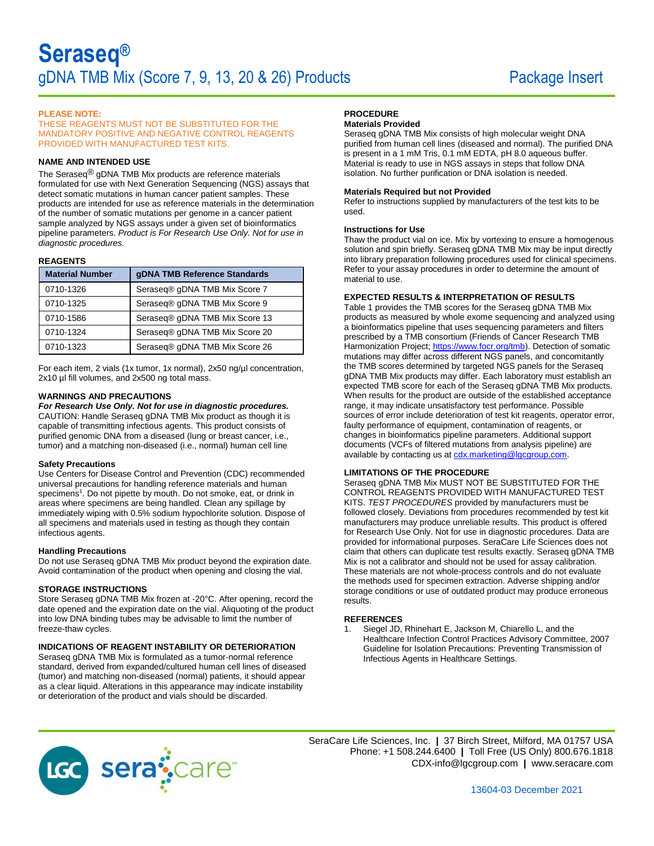## **PLEASE NOTE:**

THESE REAGENTS MUST NOT BE SUBSTITUTED FOR THE MANDATORY POSITIVE AND NEGATIVE CONTROL REAGENTS PROVIDED WITH MANUFACTURED TEST KITS.

# **NAME AND INTENDED USE**

The Seraseq® gDNA TMB Mix products are reference materials formulated for use with Next Generation Sequencing (NGS) assays that detect somatic mutations in human cancer patient samples. These products are intended for use as reference materials in the determination of the number of somatic mutations per genome in a cancer patient sample analyzed by NGS assays under a given set of bioinformatics pipeline parameters. *Product is For Research Use Only. Not for use in diagnostic procedures.*

## **REAGENTS**

| <b>Material Number</b> | gDNA TMB Reference Standards   |  |
|------------------------|--------------------------------|--|
| 0710-1326              | Seraseq® gDNA TMB Mix Score 7  |  |
| 0710-1325              | Seraseq® gDNA TMB Mix Score 9  |  |
| 0710-1586              | Seraseq® gDNA TMB Mix Score 13 |  |
| 0710-1324              | Seraseq® gDNA TMB Mix Score 20 |  |
| 0710-1323              | Seraseq® gDNA TMB Mix Score 26 |  |

For each item, 2 vials (1x tumor, 1x normal), 2x50 ng/µl concentration, 2x10 µl fill volumes, and 2x500 ng total mass.

# **WARNINGS AND PRECAUTIONS**

### *For Research Use Only. Not for use in diagnostic procedures.*

CAUTION: Handle Seraseq gDNA TMB Mix product as though it is capable of transmitting infectious agents. This product consists of purified genomic DNA from a diseased (lung or breast cancer, i.e., tumor) and a matching non-diseased (i.e., normal) human cell line

### **Safety Precautions**

Use Centers for Disease Control and Prevention (CDC) recommended universal precautions for handling reference materials and human specimens<sup>1</sup>. Do not pipette by mouth. Do not smoke, eat, or drink in areas where specimens are being handled. Clean any spillage by immediately wiping with 0.5% sodium hypochlorite solution. Dispose of all specimens and materials used in testing as though they contain infectious agents.

## **Handling Precautions**

Do not use Seraseq gDNA TMB Mix product beyond the expiration date. Avoid contamination of the product when opening and closing the vial.

## **STORAGE INSTRUCTIONS**

Store Seraseq gDNA TMB Mix frozen at -20°C. After opening, record the date opened and the expiration date on the vial. Aliquoting of the product into low DNA binding tubes may be advisable to limit the number of freeze-thaw cycles.

# **INDICATIONS OF REAGENT INSTABILITY OR DETERIORATION**

Seraseq gDNA TMB Mix is formulated as a tumor-normal reference standard, derived from expanded/cultured human cell lines of diseased (tumor) and matching non-diseased (normal) patients, it should appear as a clear liquid. Alterations in this appearance may indicate instability or deterioration of the product and vials should be discarded.

# **PROCEDURE**

## **Materials Provided**

Seraseq gDNA TMB Mix consists of high molecular weight DNA purified from human cell lines (diseased and normal). The purified DNA is present in a 1 mM Tris, 0.1 mM EDTA, pH 8.0 aqueous buffer. Material is ready to use in NGS assays in steps that follow DNA isolation. No further purification or DNA isolation is needed.

#### **Materials Required but not Provided**

Refer to instructions supplied by manufacturers of the test kits to be used.

#### **Instructions for Use**

Thaw the product vial on ice. Mix by vortexing to ensure a homogenous solution and spin briefly. Seraseq gDNA TMB Mix may be input directly into library preparation following procedures used for clinical specimens. Refer to your assay procedures in order to determine the amount of material to use.

# **EXPECTED RESULTS & INTERPRETATION OF RESULTS**

Table 1 provides the TMB scores for the Seraseq gDNA TMB Mix products as measured by whole exome sequencing and analyzed using a bioinformatics pipeline that uses sequencing parameters and filters prescribed by a TMB consortium (Friends of Cancer Research TMB Harmonization Project[; https://www.focr.org/tmb\)](https://www.focr.org/tmb). Detection of somatic mutations may differ across different NGS panels, and concomitantly the TMB scores determined by targeted NGS panels for the Seraseq gDNA TMB Mix products may differ. Each laboratory must establish an expected TMB score for each of the Seraseq gDNA TMB Mix products. When results for the product are outside of the established acceptance range, it may indicate unsatisfactory test performance. Possible sources of error include deterioration of test kit reagents, operator error, faulty performance of equipment, contamination of reagents, or changes in bioinformatics pipeline parameters. Additional support documents (VCFs of filtered mutations from analysis pipeline) are available by contacting us at [cdx.marketing@lgcgroup.com.](mailto:cdx.marketing@lgcgroup.com)

### **LIMITATIONS OF THE PROCEDURE**

Seraseq gDNA TMB Mix MUST NOT BE SUBSTITUTED FOR THE CONTROL REAGENTS PROVIDED WITH MANUFACTURED TEST KITS. *TEST PROCEDURES* provided by manufacturers must be followed closely. Deviations from procedures recommended by test kit manufacturers may produce unreliable results. This product is offered for Research Use Only. Not for use in diagnostic procedures. Data are provided for informational purposes. SeraCare Life Sciences does not claim that others can duplicate test results exactly. Seraseq gDNA TMB Mix is not a calibrator and should not be used for assay calibration. These materials are not whole-process controls and do not evaluate the methods used for specimen extraction. Adverse shipping and/or storage conditions or use of outdated product may produce erroneous results.

#### **REFERENCES**

1. Siegel JD, Rhinehart E, Jackson M, Chiarello L, and the Healthcare Infection Control Practices Advisory Committee, 2007 Guideline for Isolation Precautions: Preventing Transmission of Infectious Agents in Healthcare Settings.



SeraCare Life Sciences, Inc. **|** 37 Birch Street, Milford, MA 01757 USA Phone: +1 508.244.6400 **|** Toll Free (US Only) 800.676.1818 CDX-info@lgcgroup.com **|** [www.seracare.com](http://www.seracare.com/)